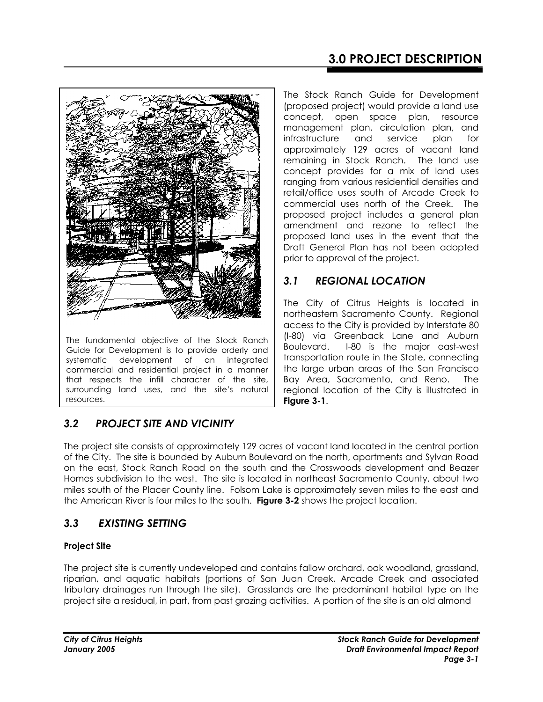

The fundamental objective of the Stock Ranch Guide for Development is to provide orderly and systematic development of an integrated commercial and residential project in a manner that respects the infill character of the site, surrounding land uses, and the site's natural resources.

The Stock Ranch Guide for Development (proposed project) would provide a land use concept, open space plan, resource management plan, circulation plan, and infrastructure and service plan for approximately 129 acres of vacant land remaining in Stock Ranch. The land use concept provides for a mix of land uses ranging from various residential densities and retail/office uses south of Arcade Creek to commercial uses north of the Creek. The proposed project includes a general plan amendment and rezone to reflect the proposed land uses in the event that the Draft General Plan has not been adopted prior to approval of the project.

# *3.1 REGIONAL LOCATION*

The City of Citrus Heights is located in northeastern Sacramento County. Regional access to the City is provided by Interstate 80 (I-80) via Greenback Lane and Auburn Boulevard. I-80 is the major east-west transportation route in the State, connecting the large urban areas of the San Francisco Bay Area, Sacramento, and Reno. The regional location of the City is illustrated in **Figure 3-1**.

# *3.2 PROJECT SITE AND VICINITY*

The project site consists of approximately 129 acres of vacant land located in the central portion of the City. The site is bounded by Auburn Boulevard on the north, apartments and Sylvan Road on the east, Stock Ranch Road on the south and the Crosswoods development and Beazer Homes subdivision to the west. The site is located in northeast Sacramento County, about two miles south of the Placer County line. Folsom Lake is approximately seven miles to the east and the American River is four miles to the south. **Figure 3-2** shows the project location.

# *3.3 EXISTING SETTING*

## **Project Site**

The project site is currently undeveloped and contains fallow orchard, oak woodland, grassland, riparian, and aquatic habitats (portions of San Juan Creek, Arcade Creek and associated tributary drainages run through the site). Grasslands are the predominant habitat type on the project site a residual, in part, from past grazing activities. A portion of the site is an old almond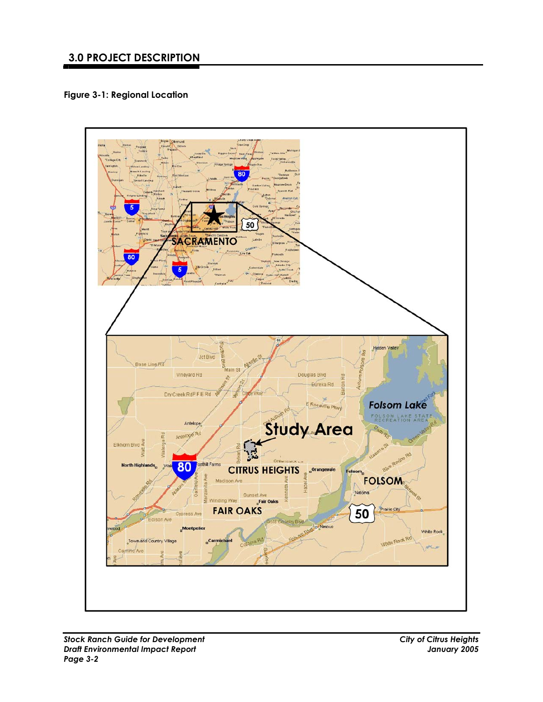**Figure 3-1: Regional Location** 

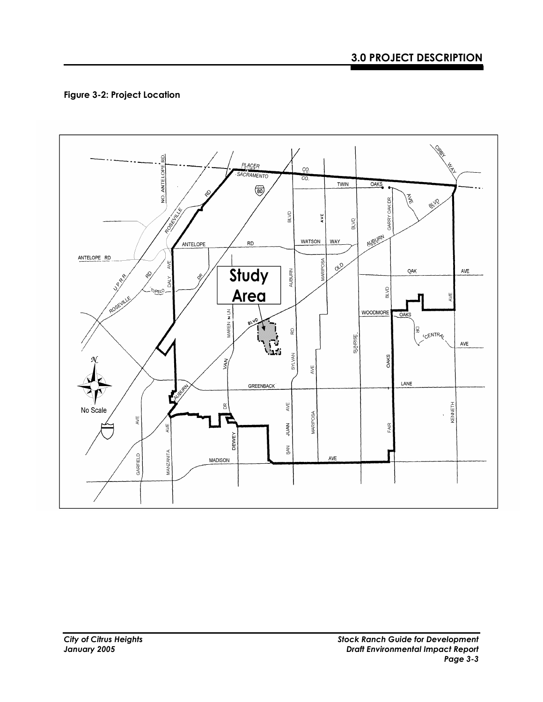## **Figure 3-2: Project Location**

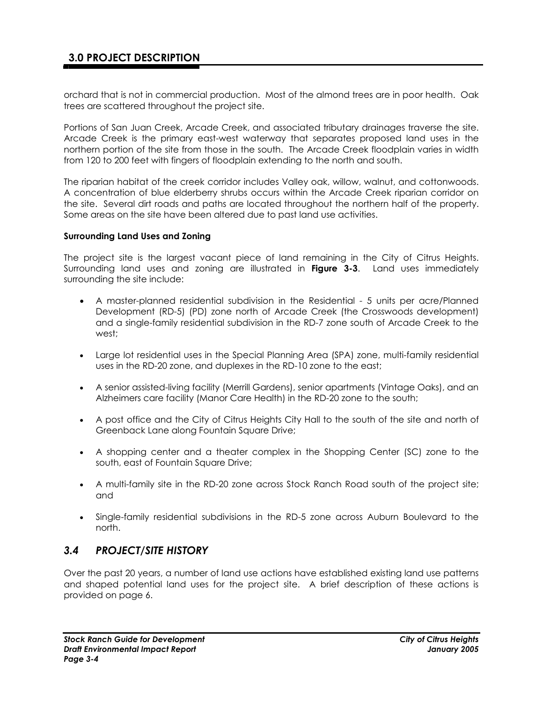orchard that is not in commercial production. Most of the almond trees are in poor health. Oak trees are scattered throughout the project site.

Portions of San Juan Creek, Arcade Creek, and associated tributary drainages traverse the site. Arcade Creek is the primary east-west waterway that separates proposed land uses in the northern portion of the site from those in the south. The Arcade Creek floodplain varies in width from 120 to 200 feet with fingers of floodplain extending to the north and south.

The riparian habitat of the creek corridor includes Valley oak, willow, walnut, and cottonwoods. A concentration of blue elderberry shrubs occurs within the Arcade Creek riparian corridor on the site. Several dirt roads and paths are located throughout the northern half of the property. Some areas on the site have been altered due to past land use activities.

#### **Surrounding Land Uses and Zoning**

The project site is the largest vacant piece of land remaining in the City of Citrus Heights. Surrounding land uses and zoning are illustrated in **Figure 3-3**. Land uses immediately surrounding the site include:

- A master-planned residential subdivision in the Residential 5 units per acre/Planned Development (RD-5) (PD) zone north of Arcade Creek (the Crosswoods development) and a single-family residential subdivision in the RD-7 zone south of Arcade Creek to the west;
- Large lot residential uses in the Special Planning Area (SPA) zone, multi-family residential uses in the RD-20 zone, and duplexes in the RD-10 zone to the east;
- A senior assisted-living facility (Merrill Gardens), senior apartments (Vintage Oaks), and an Alzheimers care facility (Manor Care Health) in the RD-20 zone to the south;
- A post office and the City of Citrus Heights City Hall to the south of the site and north of Greenback Lane along Fountain Square Drive;
- A shopping center and a theater complex in the Shopping Center (SC) zone to the south, east of Fountain Square Drive;
- A multi-family site in the RD-20 zone across Stock Ranch Road south of the project site; and
- Single-family residential subdivisions in the RD-5 zone across Auburn Boulevard to the north.

### *3.4 PROJECT/SITE HISTORY*

Over the past 20 years, a number of land use actions have established existing land use patterns and shaped potential land uses for the project site. A brief description of these actions is provided on page 6.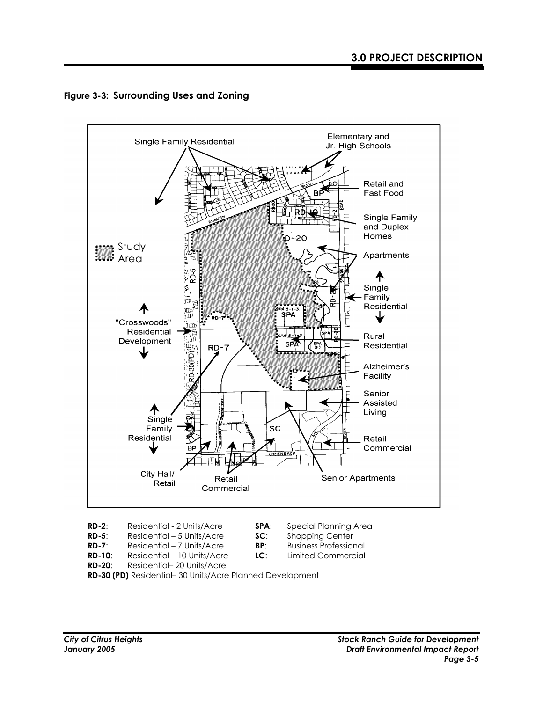



**RD-2**: Residential - 2 Units/Acre **SPA**: Special Planning Area

- **RD-5**: Residential 5 Units/Acre **SC**: Shopping Center
- **RD-7**: Residential 7 Units/Acre **BP**: Business Professional
- 
- -
	-
- **RD-10:** Residential 10 Units/Acre LC:<br>**RD-20:** Residential 20 Units/Acre Residential- 20 Units/Acre
- **RD-30 (PD)** Residential– 30 Units/Acre Planned Development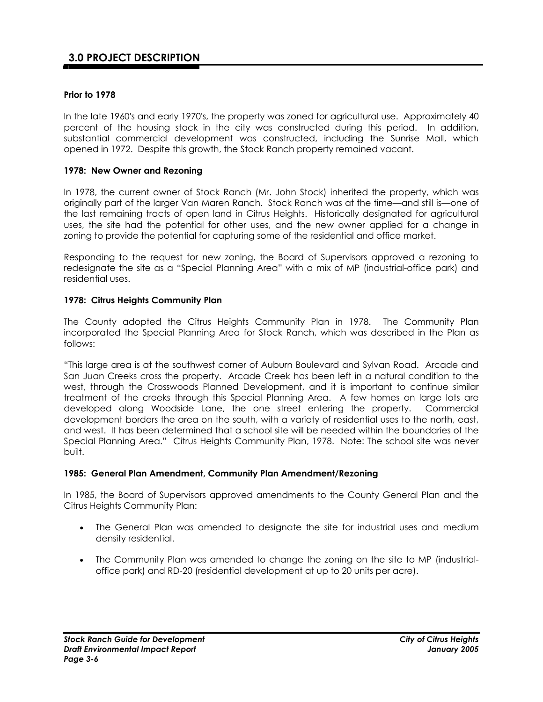### **Prior to 1978**

In the late 1960's and early 1970's, the property was zoned for agricultural use. Approximately 40 percent of the housing stock in the city was constructed during this period. In addition, substantial commercial development was constructed, including the Sunrise Mall, which opened in 1972. Despite this growth, the Stock Ranch property remained vacant.

### **1978: New Owner and Rezoning**

In 1978, the current owner of Stock Ranch (Mr. John Stock) inherited the property, which was originally part of the larger Van Maren Ranch. Stock Ranch was at the time—and still is—one of the last remaining tracts of open land in Citrus Heights. Historically designated for agricultural uses, the site had the potential for other uses, and the new owner applied for a change in zoning to provide the potential for capturing some of the residential and office market.

Responding to the request for new zoning, the Board of Supervisors approved a rezoning to redesignate the site as a "Special Planning Area" with a mix of MP (industrial-office park) and residential uses.

### **1978: Citrus Heights Community Plan**

The County adopted the Citrus Heights Community Plan in 1978. The Community Plan incorporated the Special Planning Area for Stock Ranch, which was described in the Plan as follows:

"This large area is at the southwest corner of Auburn Boulevard and Sylvan Road. Arcade and San Juan Creeks cross the property. Arcade Creek has been left in a natural condition to the west, through the Crosswoods Planned Development, and it is important to continue similar treatment of the creeks through this Special Planning Area. A few homes on large lots are developed along Woodside Lane, the one street entering the property. Commercial development borders the area on the south, with a variety of residential uses to the north, east, and west. It has been determined that a school site will be needed within the boundaries of the Special Planning Area." Citrus Heights Community Plan, 1978. Note: The school site was never built.

#### **1985: General Plan Amendment, Community Plan Amendment/Rezoning**

In 1985, the Board of Supervisors approved amendments to the County General Plan and the Citrus Heights Community Plan:

- The General Plan was amended to designate the site for industrial uses and medium density residential.
- The Community Plan was amended to change the zoning on the site to MP (industrialoffice park) and RD-20 (residential development at up to 20 units per acre).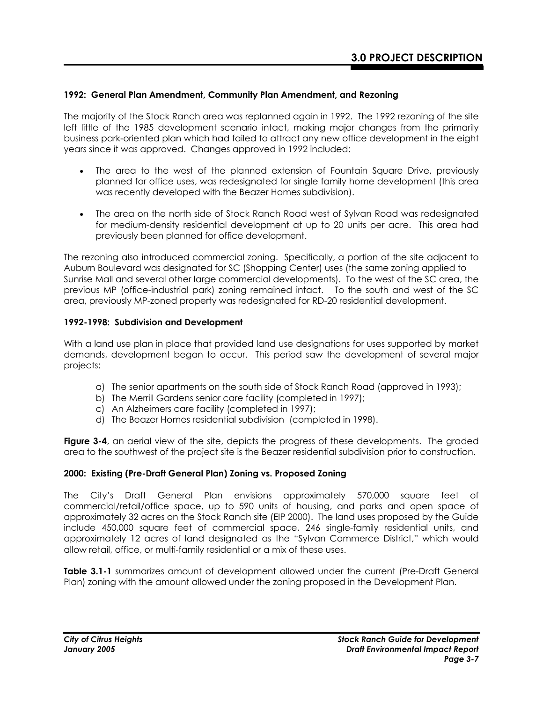### **1992: General Plan Amendment, Community Plan Amendment, and Rezoning**

The majority of the Stock Ranch area was replanned again in 1992. The 1992 rezoning of the site left little of the 1985 development scenario intact, making major changes from the primarily business park-oriented plan which had failed to attract any new office development in the eight years since it was approved. Changes approved in 1992 included:

- The area to the west of the planned extension of Fountain Square Drive, previously planned for office uses, was redesignated for single family home development (this area was recently developed with the Beazer Homes subdivision).
- The area on the north side of Stock Ranch Road west of Sylvan Road was redesignated for medium-density residential development at up to 20 units per acre. This area had previously been planned for office development.

The rezoning also introduced commercial zoning. Specifically, a portion of the site adjacent to Auburn Boulevard was designated for SC (Shopping Center) uses (the same zoning applied to Sunrise Mall and several other large commercial developments). To the west of the SC area, the previous MP (office-industrial park) zoning remained intact. To the south and west of the SC area, previously MP-zoned property was redesignated for RD-20 residential development.

### **1992-1998: Subdivision and Development**

With a land use plan in place that provided land use designations for uses supported by market demands, development began to occur. This period saw the development of several major projects:

- a) The senior apartments on the south side of Stock Ranch Road (approved in 1993);
- b) The Merrill Gardens senior care facility (completed in 1997);
- c) An Alzheimers care facility (completed in 1997);
- d) The Beazer Homes residential subdivision (completed in 1998).

**Figure 3-4**, an aerial view of the site, depicts the progress of these developments. The graded area to the southwest of the project site is the Beazer residential subdivision prior to construction.

### **2000: Existing (Pre-Draft General Plan) Zoning vs. Proposed Zoning**

The City's Draft General Plan envisions approximately 570,000 square feet of commercial/retail/office space, up to 590 units of housing, and parks and open space of approximately 32 acres on the Stock Ranch site (EIP 2000). The land uses proposed by the Guide include 450,000 square feet of commercial space, 246 single-family residential units, and approximately 12 acres of land designated as the "Sylvan Commerce District," which would allow retail, office, or multi-family residential or a mix of these uses.

**Table 3.1-1** summarizes amount of development allowed under the current (Pre-Draft General Plan) zoning with the amount allowed under the zoning proposed in the Development Plan.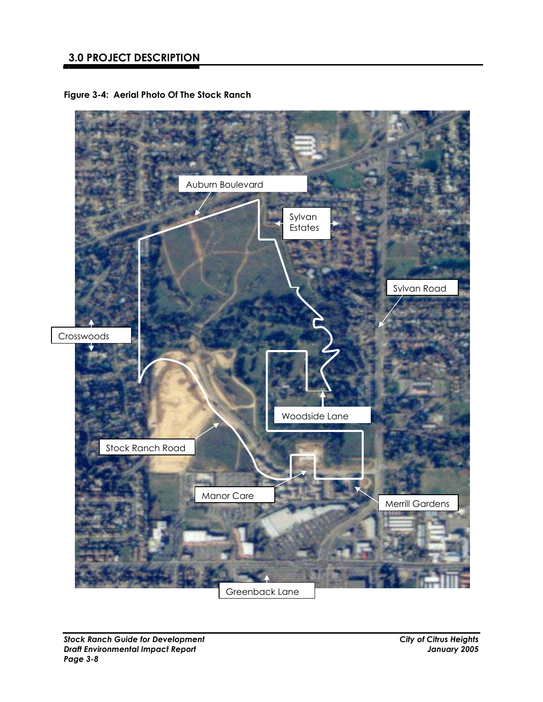# **3.0 PROJECT DESCRIPTION**

**Figure 3-4: Aerial Photo Of The Stock Ranch** 

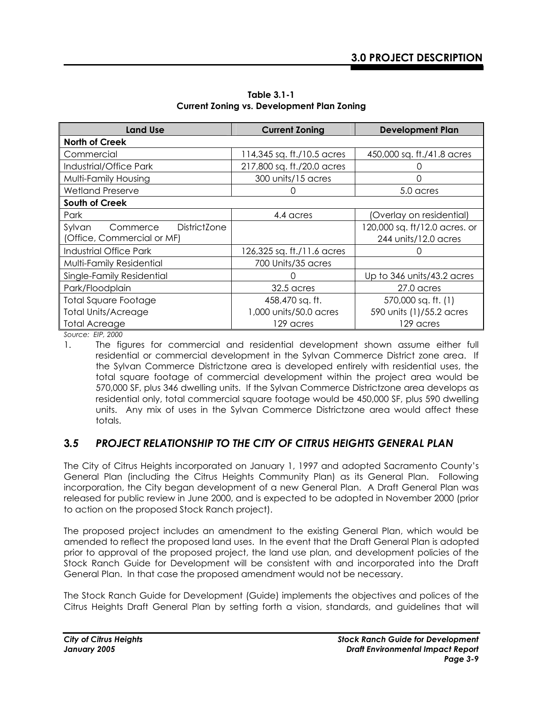| <b>Land Use</b>                           | <b>Current Zoning</b>      | <b>Development Plan</b>       |  |  |  |  |  |
|-------------------------------------------|----------------------------|-------------------------------|--|--|--|--|--|
| <b>North of Creek</b>                     |                            |                               |  |  |  |  |  |
| Commercial                                | 114,345 sq. ft./10.5 acres | 450,000 sq. ft./41.8 acres    |  |  |  |  |  |
| Industrial/Office Park                    | 217,800 sq. ft./20.0 acres |                               |  |  |  |  |  |
| Multi-Family Housing                      | 300 units/15 acres         | Ω                             |  |  |  |  |  |
| <b>Wetland Preserve</b>                   |                            | 5.0 acres                     |  |  |  |  |  |
| South of Creek                            |                            |                               |  |  |  |  |  |
| Park                                      | 4.4 acres                  | (Overlay on residential)      |  |  |  |  |  |
| <b>DistrictZone</b><br>Sylvan<br>Commerce |                            | 120,000 sq. ft/12.0 acres. or |  |  |  |  |  |
| (Office, Commercial or MF)                |                            | 244 units/12.0 acres          |  |  |  |  |  |
| <b>Industrial Office Park</b>             | 126,325 sq. ft./11.6 acres |                               |  |  |  |  |  |
| Multi-Family Residential                  | 700 Units/35 acres         |                               |  |  |  |  |  |
| Single-Family Residential                 |                            | Up to 346 units/43.2 acres    |  |  |  |  |  |
| Park/Floodplain                           | 32.5 acres                 | 27.0 acres                    |  |  |  |  |  |
| <b>Total Square Footage</b>               | 458,470 sq. ft.            | 570,000 sq. ft. (1)           |  |  |  |  |  |
| <b>Total Units/Acreage</b>                | 1,000 units/50.0 acres     | 590 units (1)/55.2 acres      |  |  |  |  |  |
| <b>Total Acreage</b>                      | 129 acres                  | 129 acres                     |  |  |  |  |  |

**Table 3.1-1 Current Zoning vs. Development Plan Zoning** 

*Source: EIP, 2000* 

1. The figures for commercial and residential development shown assume either full residential or commercial development in the Sylvan Commerce District zone area. If the Sylvan Commerce Districtzone area is developed entirely with residential uses, the total square footage of commercial development within the project area would be 570,000 SF, plus 346 dwelling units. If the Sylvan Commerce Districtzone area develops as residential only, total commercial square footage would be 450,000 SF, plus 590 dwelling units. Any mix of uses in the Sylvan Commerce Districtzone area would affect these totals.

# **3***.5 PROJECT RELATIONSHIP TO THE CITY OF CITRUS HEIGHTS GENERAL PLAN*

The City of Citrus Heights incorporated on January 1, 1997 and adopted Sacramento County's General Plan (including the Citrus Heights Community Plan) as its General Plan. Following incorporation, the City began development of a new General Plan. A Draft General Plan was released for public review in June 2000, and is expected to be adopted in November 2000 (prior to action on the proposed Stock Ranch project).

The proposed project includes an amendment to the existing General Plan, which would be amended to reflect the proposed land uses. In the event that the Draft General Plan is adopted prior to approval of the proposed project, the land use plan, and development policies of the Stock Ranch Guide for Development will be consistent with and incorporated into the Draft General Plan. In that case the proposed amendment would not be necessary.

The Stock Ranch Guide for Development (Guide) implements the objectives and polices of the Citrus Heights Draft General Plan by setting forth a vision, standards, and guidelines that will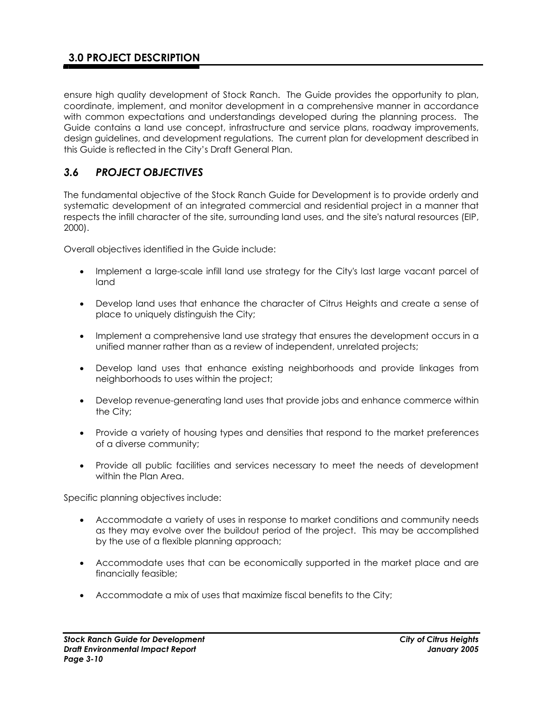ensure high quality development of Stock Ranch. The Guide provides the opportunity to plan, coordinate, implement, and monitor development in a comprehensive manner in accordance with common expectations and understandings developed during the planning process. The Guide contains a land use concept, infrastructure and service plans, roadway improvements, design guidelines, and development regulations. The current plan for development described in this Guide is reflected in the City's Draft General Plan.

# *3.6 PROJECT OBJECTIVES*

The fundamental objective of the Stock Ranch Guide for Development is to provide orderly and systematic development of an integrated commercial and residential project in a manner that respects the infill character of the site, surrounding land uses, and the site's natural resources (EIP, 2000).

Overall objectives identified in the Guide include:

- Implement a large-scale infill land use strategy for the City's last large vacant parcel of land
- Develop land uses that enhance the character of Citrus Heights and create a sense of place to uniquely distinguish the City;
- Implement a comprehensive land use strategy that ensures the development occurs in a unified manner rather than as a review of independent, unrelated projects;
- Develop land uses that enhance existing neighborhoods and provide linkages from neighborhoods to uses within the project;
- Develop revenue-generating land uses that provide jobs and enhance commerce within the City;
- Provide a variety of housing types and densities that respond to the market preferences of a diverse community;
- Provide all public facilities and services necessary to meet the needs of development within the Plan Area.

Specific planning objectives include:

- Accommodate a variety of uses in response to market conditions and community needs as they may evolve over the buildout period of the project. This may be accomplished by the use of a flexible planning approach;
- Accommodate uses that can be economically supported in the market place and are financially feasible;
- Accommodate a mix of uses that maximize fiscal benefits to the City;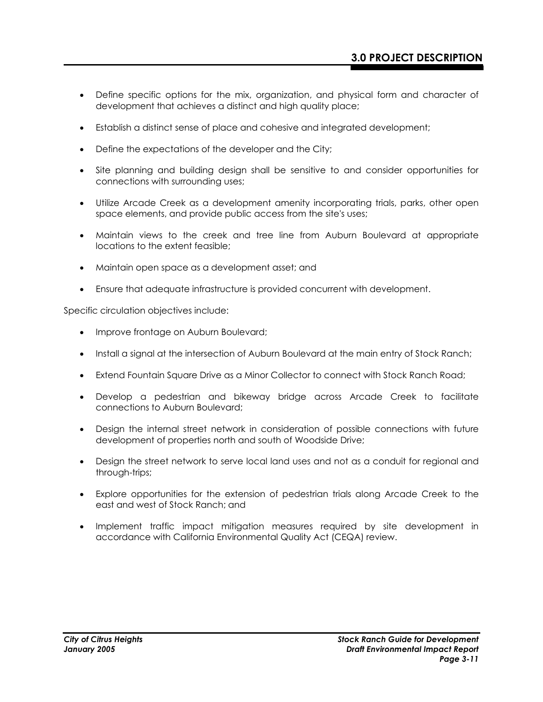- Define specific options for the mix, organization, and physical form and character of development that achieves a distinct and high quality place;
- Establish a distinct sense of place and cohesive and integrated development;
- Define the expectations of the developer and the City;
- Site planning and building design shall be sensitive to and consider opportunities for connections with surrounding uses;
- Utilize Arcade Creek as a development amenity incorporating trials, parks, other open space elements, and provide public access from the site's uses;
- Maintain views to the creek and tree line from Auburn Boulevard at appropriate locations to the extent feasible;
- Maintain open space as a development asset; and
- Ensure that adequate infrastructure is provided concurrent with development.

Specific circulation objectives include:

- Improve frontage on Auburn Boulevard;
- Install a signal at the intersection of Auburn Boulevard at the main entry of Stock Ranch;
- Extend Fountain Square Drive as a Minor Collector to connect with Stock Ranch Road;
- Develop a pedestrian and bikeway bridge across Arcade Creek to facilitate connections to Auburn Boulevard;
- Design the internal street network in consideration of possible connections with future development of properties north and south of Woodside Drive;
- Design the street network to serve local land uses and not as a conduit for regional and through-trips;
- Explore opportunities for the extension of pedestrian trials along Arcade Creek to the east and west of Stock Ranch; and
- Implement traffic impact mitigation measures required by site development in accordance with California Environmental Quality Act (CEQA) review.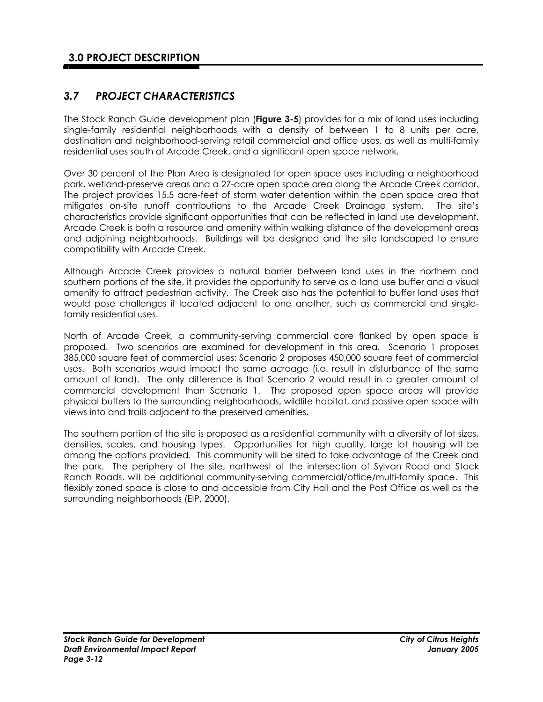# *3.7 PROJECT CHARACTERISTICS*

The Stock Ranch Guide development plan (**Figure 3-5**) provides for a mix of land uses including single-family residential neighborhoods with a density of between 1 to 8 units per acre, destination and neighborhood-serving retail commercial and office uses, as well as multi-family residential uses south of Arcade Creek, and a significant open space network.

Over 30 percent of the Plan Area is designated for open space uses including a neighborhood park, wetland-preserve areas and a 27-acre open space area along the Arcade Creek corridor. The project provides 15.5 acre-feet of storm water detention within the open space area that mitigates on-site runoff contributions to the Arcade Creek Drainage system. The site's characteristics provide significant opportunities that can be reflected in land use development. Arcade Creek is both a resource and amenity within walking distance of the development areas and adjoining neighborhoods. Buildings will be designed and the site landscaped to ensure compatibility with Arcade Creek.

Although Arcade Creek provides a natural barrier between land uses in the northern and southern portions of the site, it provides the opportunity to serve as a land use buffer and a visual amenity to attract pedestrian activity. The Creek also has the potential to buffer land uses that would pose challenges if located adjacent to one another, such as commercial and singlefamily residential uses.

North of Arcade Creek, a community-serving commercial core flanked by open space is proposed. Two scenarios are examined for development in this area. Scenario 1 proposes 385,000 square feet of commercial uses; Scenario 2 proposes 450,000 square feet of commercial uses. Both scenarios would impact the same acreage (i.e. result in disturbance of the same amount of land). The only difference is that Scenario 2 would result in a greater amount of commercial development than Scenario 1. The proposed open space areas will provide physical buffers to the surrounding neighborhoods, wildlife habitat, and passive open space with views into and trails adjacent to the preserved amenities.

The southern portion of the site is proposed as a residential community with a diversity of lot sizes, densities, scales, and housing types. Opportunities for high quality, large lot housing will be among the options provided. This community will be sited to take advantage of the Creek and the park. The periphery of the site, northwest of the intersection of Sylvan Road and Stock Ranch Roads, will be additional community-serving commercial/office/multi-family space. This flexibly zoned space is close to and accessible from City Hall and the Post Office as well as the surrounding neighborhoods (EIP, 2000).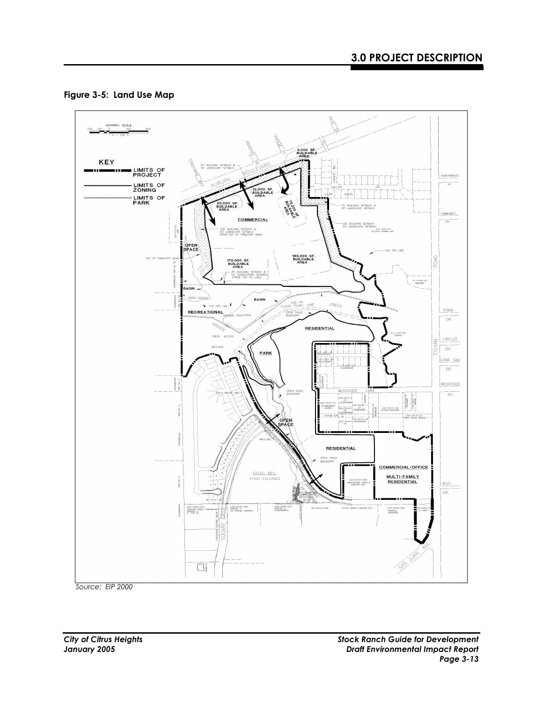



*Source: EIP 2000*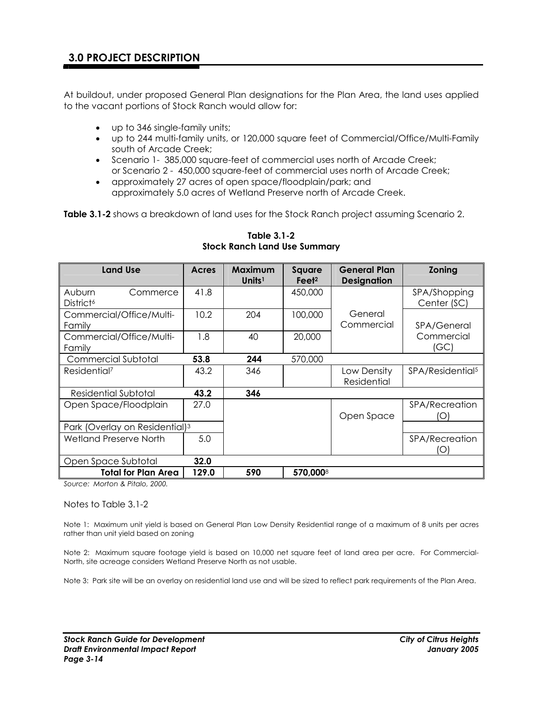At buildout, under proposed General Plan designations for the Plan Area, the land uses applied to the vacant portions of Stock Ranch would allow for:

- up to 346 single-family units;
- up to 244 multi-family units, or 120,000 square feet of Commercial/Office/Multi-Family south of Arcade Creek;
- Scenario 1- 385,000 square-feet of commercial uses north of Arcade Creek; or Scenario 2 - 450,000 square-feet of commercial uses north of Arcade Creek;
- approximately 27 acres of open space/floodplain/park; and approximately 5.0 acres of Wetland Preserve north of Arcade Creek.

Table 3.1-2 shows a breakdown of land uses for the Stock Ranch project assuming Scenario 2.

| <b>Land Use</b>                             | Acres | Maximum<br>Units <sup>1</sup> | Square<br>Feet <sup>2</sup> | <b>General Plan</b><br><b>Designation</b> | <b>Zoning</b>                |
|---------------------------------------------|-------|-------------------------------|-----------------------------|-------------------------------------------|------------------------------|
| Auburn<br>Commerce<br>District <sup>6</sup> | 41.8  |                               | 450,000                     |                                           | SPA/Shopping<br>Center (SC)  |
| Commercial/Office/Multi-<br>Family          | 10.2  | 204                           | 100,000                     | General<br>Commercial                     | <b>SPA/General</b>           |
| Commercial/Office/Multi-<br>Family          | 1.8   | 40                            | 20,000                      |                                           | Commercial<br>(GC)           |
| Commercial Subtotal                         | 53.8  | 244                           | 570,000                     |                                           |                              |
| Residential <sup>7</sup>                    | 43.2  | 346                           |                             | Low Density<br>Residential                | SPA/Residential <sup>5</sup> |
| Residential Subtotal                        | 43.2  | 346                           |                             |                                           |                              |
| Open Space/Floodplain                       | 27.0  |                               |                             | Open Space                                | <b>SPA/Recreation</b><br>O   |
| Park (Overlay on Residential) <sup>3</sup>  |       |                               |                             |                                           |                              |
| Wetland Preserve North                      | 5.0   |                               |                             |                                           | SPA/Recreation<br>O          |
| Open Space Subtotal                         | 32.0  |                               |                             |                                           |                              |
| <b>Total for Plan Area</b>                  | 129.0 | 590                           | 570,0008                    |                                           |                              |

**Table 3.1-2 Stock Ranch Land Use Summary** 

*Source: Morton & Pitalo, 2000.* 

#### Notes to Table 3.1-2

Note 1: Maximum unit yield is based on General Plan Low Density Residential range of a maximum of 8 units per acres rather than unit yield based on zoning

Note 2: Maximum square footage yield is based on 10,000 net square feet of land area per acre. For Commercial-North, site acreage considers Wetland Preserve North as not usable.

Note 3: Park site will be an overlay on residential land use and will be sized to reflect park requirements of the Plan Area.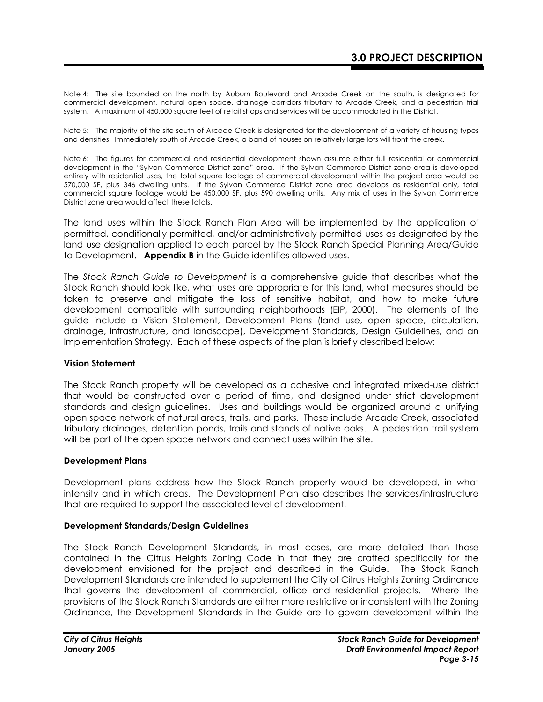Note 4: The site bounded on the north by Auburn Boulevard and Arcade Creek on the south, is designated for commercial development, natural open space, drainage corridors tributary to Arcade Creek, and a pedestrian trial system. A maximum of 450,000 square feet of retail shops and services will be accommodated in the District.

Note 5: The majority of the site south of Arcade Creek is designated for the development of a variety of housing types and densities. Immediately south of Arcade Creek, a band of houses on relatively large lots will front the creek.

Note 6: The figures for commercial and residential development shown assume either full residential or commercial development in the "Sylvan Commerce District zone" area. If the Sylvan Commerce District zone area is developed entirely with residential uses, the total square footage of commercial development within the project area would be 570,000 SF, plus 346 dwelling units. If the Sylvan Commerce District zone area develops as residential only, total commercial square footage would be 450,000 SF, plus 590 dwelling units. Any mix of uses in the Sylvan Commerce District zone area would affect these totals.

The land uses within the Stock Ranch Plan Area will be implemented by the application of permitted, conditionally permitted, and/or administratively permitted uses as designated by the land use designation applied to each parcel by the Stock Ranch Special Planning Area/Guide to Development. **Appendix B** in the Guide identifies allowed uses.

The *Stock Ranch Guide to Development* is a comprehensive guide that describes what the Stock Ranch should look like, what uses are appropriate for this land, what measures should be taken to preserve and mitigate the loss of sensitive habitat, and how to make future development compatible with surrounding neighborhoods (EIP, 2000). The elements of the guide include a Vision Statement, Development Plans (land use, open space, circulation, drainage, infrastructure, and landscape), Development Standards, Design Guidelines, and an Implementation Strategy. Each of these aspects of the plan is briefly described below:

#### **Vision Statement**

The Stock Ranch property will be developed as a cohesive and integrated mixed-use district that would be constructed over a period of time, and designed under strict development standards and design guidelines. Uses and buildings would be organized around a unifying open space network of natural areas, trails, and parks. These include Arcade Creek, associated tributary drainages, detention ponds, trails and stands of native oaks. A pedestrian trail system will be part of the open space network and connect uses within the site.

#### **Development Plans**

Development plans address how the Stock Ranch property would be developed, in what intensity and in which areas. The Development Plan also describes the services/infrastructure that are required to support the associated level of development.

#### **Development Standards/Design Guidelines**

The Stock Ranch Development Standards, in most cases, are more detailed than those contained in the Citrus Heights Zoning Code in that they are crafted specifically for the development envisioned for the project and described in the Guide. The Stock Ranch Development Standards are intended to supplement the City of Citrus Heights Zoning Ordinance that governs the development of commercial, office and residential projects. Where the provisions of the Stock Ranch Standards are either more restrictive or inconsistent with the Zoning Ordinance, the Development Standards in the Guide are to govern development within the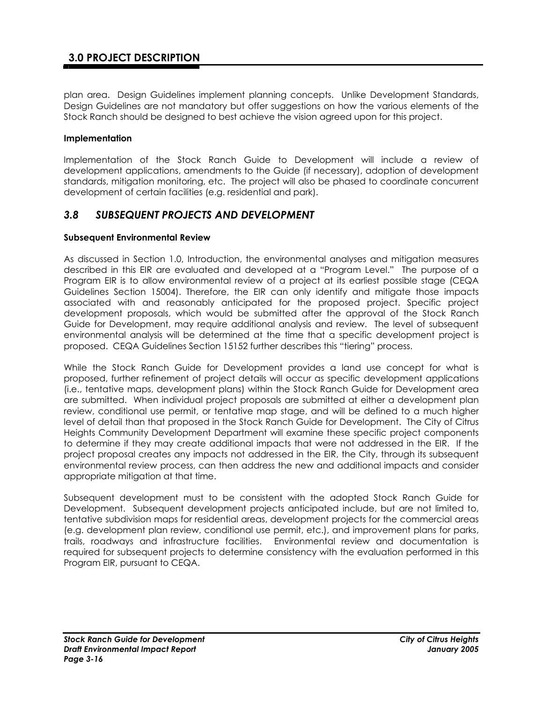# **3.0 PROJECT DESCRIPTION**

plan area. Design Guidelines implement planning concepts. Unlike Development Standards, Design Guidelines are not mandatory but offer suggestions on how the various elements of the Stock Ranch should be designed to best achieve the vision agreed upon for this project.

### **Implementation**

Implementation of the Stock Ranch Guide to Development will include a review of development applications, amendments to the Guide (if necessary), adoption of development standards, mitigation monitoring, etc. The project will also be phased to coordinate concurrent development of certain facilities (e.g. residential and park).

## *3.8 SUBSEQUENT PROJECTS AND DEVELOPMENT*

### **Subsequent Environmental Review**

As discussed in Section 1.0, Introduction, the environmental analyses and mitigation measures described in this EIR are evaluated and developed at a "Program Level." The purpose of a Program EIR is to allow environmental review of a project at its earliest possible stage (CEQA Guidelines Section 15004). Therefore, the EIR can only identify and mitigate those impacts associated with and reasonably anticipated for the proposed project. Specific project development proposals, which would be submitted after the approval of the Stock Ranch Guide for Development, may require additional analysis and review. The level of subsequent environmental analysis will be determined at the time that a specific development project is proposed. CEQA Guidelines Section 15152 further describes this "tiering" process.

While the Stock Ranch Guide for Development provides a land use concept for what is proposed, further refinement of project details will occur as specific development applications (i.e., tentative maps, development plans) within the Stock Ranch Guide for Development area are submitted. When individual project proposals are submitted at either a development plan review, conditional use permit, or tentative map stage, and will be defined to a much higher level of detail than that proposed in the Stock Ranch Guide for Development. The City of Citrus Heights Community Development Department will examine these specific project components to determine if they may create additional impacts that were not addressed in the EIR. If the project proposal creates any impacts not addressed in the EIR, the City, through its subsequent environmental review process, can then address the new and additional impacts and consider appropriate mitigation at that time.

Subsequent development must to be consistent with the adopted Stock Ranch Guide for Development. Subsequent development projects anticipated include, but are not limited to, tentative subdivision maps for residential areas, development projects for the commercial areas (e.g. development plan review, conditional use permit, etc.), and improvement plans for parks, trails, roadways and infrastructure facilities. Environmental review and documentation is required for subsequent projects to determine consistency with the evaluation performed in this Program EIR, pursuant to CEQA.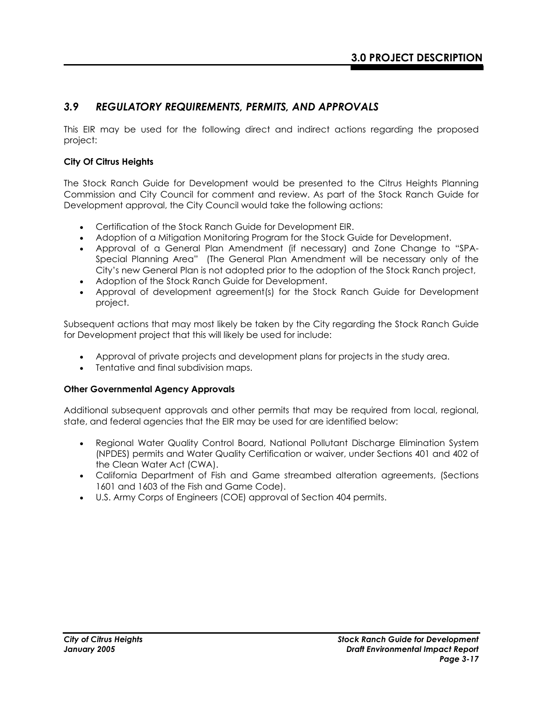## *3.9 REGULATORY REQUIREMENTS, PERMITS, AND APPROVALS*

This EIR may be used for the following direct and indirect actions regarding the proposed project:

### **City Of Citrus Heights**

The Stock Ranch Guide for Development would be presented to the Citrus Heights Planning Commission and City Council for comment and review. As part of the Stock Ranch Guide for Development approval, the City Council would take the following actions:

- Certification of the Stock Ranch Guide for Development EIR.
- Adoption of a Mitigation Monitoring Program for the Stock Guide for Development.
- Approval of a General Plan Amendment (if necessary) and Zone Change to "SPA-Special Planning Area" (The General Plan Amendment will be necessary only of the City's new General Plan is not adopted prior to the adoption of the Stock Ranch project,
- Adoption of the Stock Ranch Guide for Development.
- Approval of development agreement(s) for the Stock Ranch Guide for Development project.

Subsequent actions that may most likely be taken by the City regarding the Stock Ranch Guide for Development project that this will likely be used for include:

- Approval of private projects and development plans for projects in the study area.
- Tentative and final subdivision maps.

### **Other Governmental Agency Approvals**

Additional subsequent approvals and other permits that may be required from local, regional, state, and federal agencies that the EIR may be used for are identified below:

- Regional Water Quality Control Board, National Pollutant Discharge Elimination System (NPDES) permits and Water Quality Certification or waiver, under Sections 401 and 402 of the Clean Water Act (CWA).
- California Department of Fish and Game streambed alteration agreements, (Sections 1601 and 1603 of the Fish and Game Code).
- U.S. Army Corps of Engineers (COE) approval of Section 404 permits.